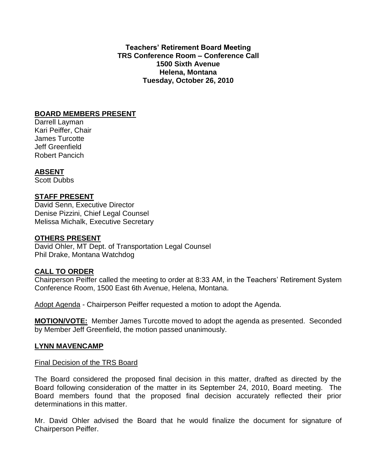**Teachers' Retirement Board Meeting TRS Conference Room – Conference Call 1500 Sixth Avenue Helena, Montana Tuesday, October 26, 2010**

## **BOARD MEMBERS PRESENT**

Darrell Layman Kari Peiffer, Chair James Turcotte Jeff Greenfield Robert Pancich

# **ABSENT**

Scott Dubbs

## **STAFF PRESENT**

David Senn, Executive Director Denise Pizzini, Chief Legal Counsel Melissa Michalk, Executive Secretary

### **OTHERS PRESENT**

David Ohler, MT Dept. of Transportation Legal Counsel Phil Drake, Montana Watchdog

### **CALL TO ORDER**

Chairperson Peiffer called the meeting to order at 8:33 AM, in the Teachers' Retirement System Conference Room, 1500 East 6th Avenue, Helena, Montana.

Adopt Agenda - Chairperson Peiffer requested a motion to adopt the Agenda.

**MOTION/VOTE:** Member James Turcotte moved to adopt the agenda as presented. Seconded by Member Jeff Greenfield, the motion passed unanimously.

### **LYNN MAVENCAMP**

#### Final Decision of the TRS Board

The Board considered the proposed final decision in this matter, drafted as directed by the Board following consideration of the matter in its September 24, 2010, Board meeting. The Board members found that the proposed final decision accurately reflected their prior determinations in this matter.

Mr. David Ohler advised the Board that he would finalize the document for signature of Chairperson Peiffer.